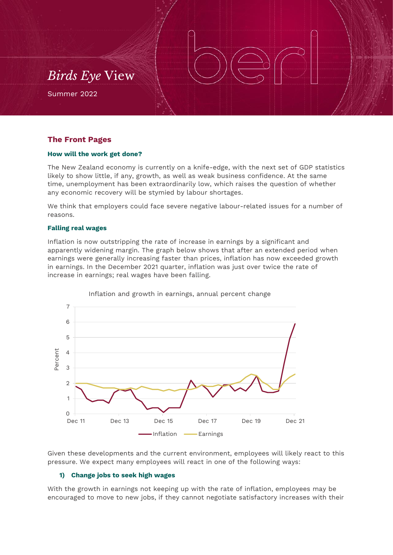## *Birds Eye* View

Summer 2022

## **The Front Pages**

#### **How will the work get done?**

The New Zealand economy is currently on a knife-edge, with the next set of GDP statistics likely to show little, if any, growth, as well as weak business confidence. At the same time, unemployment has been extraordinarily low, which raises the question of whether any economic recovery will be stymied by labour shortages.

We think that employers could face severe negative labour-related issues for a number of reasons.

#### **Falling real wages**

Inflation is now outstripping the rate of increase in earnings by a significant and apparently widening margin. The graph below shows that after an extended period when earnings were generally increasing faster than prices, inflation has now exceeded growth in earnings. In the December 2021 quarter, inflation was just over twice the rate of increase in earnings; real wages have been falling.



#### Inflation and growth in earnings, annual percent change

Given these developments and the current environment, employees will likely react to this pressure. We expect many employees will react in one of the following ways:

## **1) Change jobs to seek high wages**

With the growth in earnings not keeping up with the rate of inflation, employees may be encouraged to move to new jobs, if they cannot negotiate satisfactory increases with their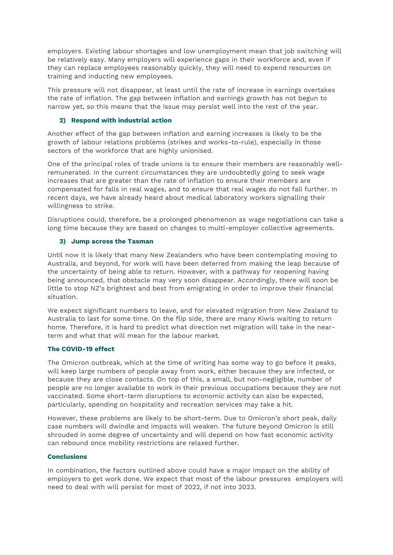employers. Existing labour shortages and low unemployment mean that job switching will be relatively easy. Many employers will experience gaps in their workforce and, even if they can replace employees reasonably quickly, they will need to expend resources on training and inducting new employees.

This pressure will not disappear, at least until the rate of increase in earnings overtakes the rate of inflation. The gap between inflation and earnings growth has not begun to narrow yet, so this means that the issue may persist well into the rest of the year.

## **2) Respond with industrial action**

Another effect of the gap between inflation and earning increases is likely to be the growth of labour relations problems (strikes and works-to-rule), especially in those sectors of the workforce that are highly unionised.

One of the principal roles of trade unions is to ensure their members are reasonably wellremunerated. In the current circumstances they are undoubtedly going to seek wage increases that are greater than the rate of inflation to ensure their members are compensated for falls in real wages, and to ensure that real wages do not fall further. In recent days, we have already heard about medical laboratory workers signalling their willingness to strike.

Disruptions could, therefore, be a prolonged phenomenon as wage negotiations can take a long time because they are based on changes to multi-employer collective agreements.

## **3) Jump across the Tasman**

Until now it is likely that many New Zealanders who have been contemplating moving to Australia, and beyond, for work will have been deterred from making the leap because of the uncertainty of being able to return. However, with a pathway for reopening having being announced, that obstacle may very soon disappear. Accordingly, there will soon be little to stop NZ's brightest and best from emigrating in order to improve their financial situation.

We expect significant numbers to leave, and for elevated migration from New Zealand to Australia to last for some time. On the flip side, there are many Kiwis waiting to return home. Therefore, it is hard to predict what direction net migration will take in the nearterm and what that will mean for the labour market.

## **The COVID-19 effect**

The Omicron outbreak, which at the time of writing has some way to go before it peaks, will keep large numbers of people away from work, either because they are infected, or because they are close contacts. On top of this, a small, but non-negligible, number of people are no longer available to work in their previous occupations because they are not vaccinated. Some short-term disruptions to economic activity can also be expected, particularly, spending on hospitality and recreation services may take a hit.

However, these problems are likely to be short-term. Due to Omicron's short peak, daily case numbers will dwindle and impacts will weaken. The future beyond Omicron is still shrouded in some degree of uncertainty and will depend on how fast economic activity can rebound once mobility restrictions are relaxed further.

## **Conclusions**

In combination, the factors outlined above could have a major impact on the ability of employers to get work done. We expect that most of the labour pressures employers will need to deal with will persist for most of 2022, if not into 2023.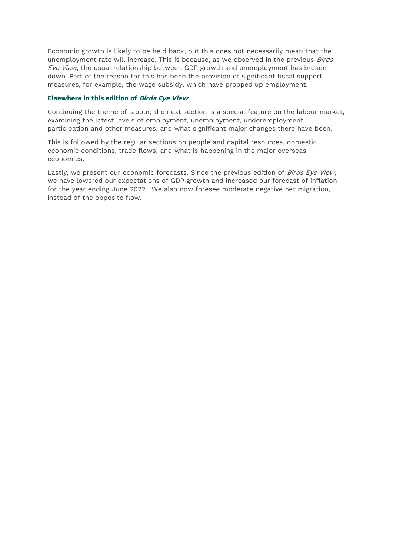Economic growth is likely to be held back, but this does not necessarily mean that the unemployment rate will increase. This is because, as we observed in the previous Birds Eye View, the usual relationship between GDP growth and unemployment has broken down. Part of the reason for this has been the provision of significant fiscal support measures, for example, the wage subsidy, which have propped up employment.

#### **Elsewhere in this edition of Birds Eye View**

Continuing the theme of labour, the next section is a special feature on the labour market, examining the latest levels of employment, unemployment, underemployment, participation and other measures, and what significant major changes there have been.

This is followed by the regular sections on people and capital resources, domestic economic conditions, trade flows, and what is happening in the major overseas economies.

Lastly, we present our economic forecasts. Since the previous edition of Birds Eye View, we have lowered our expectations of GDP growth and increased our forecast of inflation for the year ending June 2022. We also now foresee moderate negative net migration, instead of the opposite flow.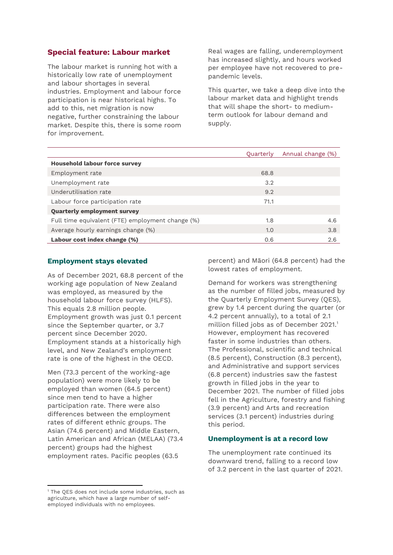## **Special feature: Labour market**

The labour market is running hot with a historically low rate of unemployment and labour shortages in several industries. Employment and labour force participation is near historical highs. To add to this, net migration is now negative, further constraining the labour market. Despite this, there is some room for improvement.

Real wages are falling, underemployment has increased slightly, and hours worked per employee have not recovered to prepandemic levels.

This quarter, we take a deep dive into the labour market data and highlight trends that will shape the short- to mediumterm outlook for labour demand and supply.

|                                                  | Quarterly | Annual change (%) |  |  |
|--------------------------------------------------|-----------|-------------------|--|--|
| <b>Household labour force survey</b>             |           |                   |  |  |
| Employment rate                                  | 68.8      |                   |  |  |
| Unemployment rate                                | 3.2       |                   |  |  |
| Underutilisation rate                            | 9.2       |                   |  |  |
| Labour force participation rate                  | 71.1      |                   |  |  |
| <b>Quarterly employment survey</b>               |           |                   |  |  |
| Full time equivalent (FTE) employment change (%) | 1.8       | 4.6               |  |  |
| Average hourly earnings change (%)               | 1.0       | 3.8               |  |  |
| Labour cost index change (%)                     | 0.6       | 2.6               |  |  |

## **Employment stays elevated**

As of December 2021, 68.8 percent of the working age population of New Zealand was employed, as measured by the household labour force survey (HLFS). This equals 2.8 million people. Employment growth was just 0.1 percent since the September quarter, or 3.7 percent since December 2020. Employment stands at a historically high level, and New Zealand's employment rate is one of the highest in the OECD.

Men (73.3 percent of the working-age population) were more likely to be employed than women (64.5 percent) since men tend to have a higher participation rate. There were also differences between the employment rates of different ethnic groups. The Asian (74.6 percent) and Middle Eastern, Latin American and African (MELAA) (73.4 percent) groups had the highest employment rates. Pacific peoples (63.5

<sup>1</sup> The QES does not include some industries, such as agriculture, which have a large number of selfemployed individuals with no employees.

 $\overline{a}$ 

percent) and Māori (64.8 percent) had the lowest rates of employment.

Demand for workers was strengthening as the number of filled jobs, measured by the Quarterly Employment Survey (QES), grew by 1.4 percent during the quarter (or 4.2 percent annually), to a total of 2.1 million filled jobs as of December 2021. 1 However, employment has recovered faster in some industries than others. The Professional, scientific and technical (8.5 percent), Construction (8.3 percent), and Administrative and support services (6.8 percent) industries saw the fastest growth in filled jobs in the year to December 2021. The number of filled jobs fell in the Agriculture, forestry and fishing (3.9 percent) and Arts and recreation services (3.1 percent) industries during this period.

## **Unemployment is at a record low**

The unemployment rate continued its downward trend, falling to a record low of 3.2 percent in the last quarter of 2021.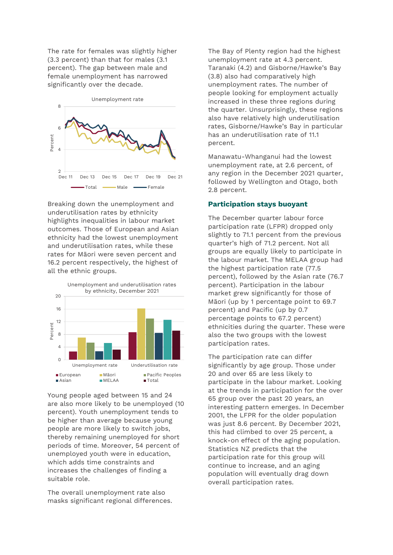The rate for females was slightly higher (3.3 percent) than that for males (3.1 percent). The gap between male and female unemployment has narrowed significantly over the decade.



Breaking down the unemployment and underutilisation rates by ethnicity highlights inequalities in labour market outcomes. Those of European and Asian ethnicity had the lowest unemployment and underutilisation rates, while these rates for Māori were seven percent and 16.2 percent respectively, the highest of all the ethnic groups.



Young people aged between 15 and 24 are also more likely to be unemployed (10 percent). Youth unemployment tends to be higher than average because young people are more likely to switch jobs, thereby remaining unemployed for short periods of time. Moreover, 54 percent of unemployed youth were in education, which adds time constraints and increases the challenges of finding a suitable role.

The overall unemployment rate also masks significant regional differences. The Bay of Plenty region had the highest unemployment rate at 4.3 percent. Taranaki (4.2) and Gisborne/Hawke's Bay (3.8) also had comparatively high unemployment rates. The number of people looking for employment actually increased in these three regions during the quarter. Unsurprisingly, these regions also have relatively high underutilisation rates, Gisborne/Hawke's Bay in particular has an underutilisation rate of 11.1 percent.

Manawatu-Whanganui had the lowest unemployment rate, at 2.6 percent, of any region in the December 2021 quarter, followed by Wellington and Otago, both 2.8 percent.

## **Participation stays buoyant**

The December quarter labour force participation rate (LFPR) dropped only slightly to 71.1 percent from the previous quarter's high of 71.2 percent. Not all groups are equally likely to participate in the labour market. The MELAA group had the highest participation rate (77.5 percent), followed by the Asian rate (76.7 percent). Participation in the labour market grew significantly for those of Māori (up by 1 percentage point to 69.7 percent) and Pacific (up by 0.7 percentage points to 67.2 percent) ethnicities during the quarter. These were also the two groups with the lowest participation rates.

The participation rate can differ significantly by age group. Those under 20 and over 65 are less likely to participate in the labour market. Looking at the trends in participation for the over 65 group over the past 20 years, an interesting pattern emerges. In December 2001, the LFPR for the older population was just 8.6 percent. By December 2021, this had climbed to over 25 percent, a knock-on effect of the aging population. Statistics NZ predicts that the participation rate for this group will continue to increase, and an aging population will eventually drag down overall participation rates.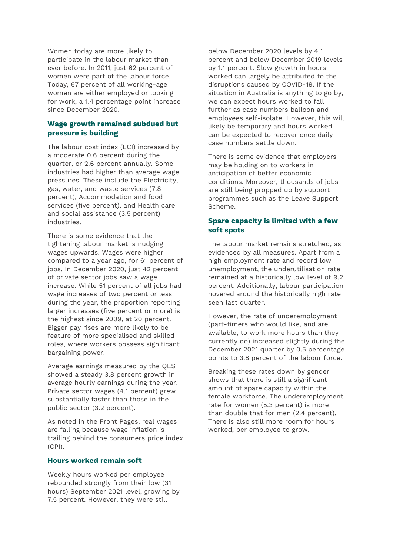Women today are more likely to participate in the labour market than ever before. In 2011, just 62 percent of women were part of the labour force. Today, 67 percent of all working-age women are either employed or looking for work, a 1.4 percentage point increase since December 2020.

## **Wage growth remained subdued but pressure is building**

The labour cost index (LCI) increased by a moderate 0.6 percent during the quarter, or 2.6 percent annually. Some industries had higher than average wage pressures. These include the Electricity, gas, water, and waste services (7.8 percent), Accommodation and food services (five percent), and Health care and social assistance (3.5 percent) industries.

There is some evidence that the tightening labour market is nudging wages upwards. Wages were higher compared to a year ago, for 61 percent of jobs. In December 2020, just 42 percent of private sector jobs saw a wage increase. While 51 percent of all jobs had wage increases of two percent or less during the year, the proportion reporting larger increases (five percent or more) is the highest since 2009, at 20 percent. Bigger pay rises are more likely to be feature of more specialised and skilled roles, where workers possess significant bargaining power.

Average earnings measured by the QES showed a steady 3.8 percent growth in average hourly earnings during the year. Private sector wages (4.1 percent) grew substantially faster than those in the public sector (3.2 percent).

As noted in the Front Pages, real wages are falling because wage inflation is trailing behind the consumers price index (CPI).

## **Hours worked remain soft**

Weekly hours worked per employee rebounded strongly from their low (31 hours) September 2021 level, growing by 7.5 percent. However, they were still

below December 2020 levels by 4.1 percent and below December 2019 levels by 1.1 percent. Slow growth in hours worked can largely be attributed to the disruptions caused by COVID-19. If the situation in Australia is anything to go by, we can expect hours worked to fall further as case numbers balloon and employees self-isolate. However, this will likely be temporary and hours worked can be expected to recover once daily case numbers settle down.

There is some evidence that employers may be holding on to workers in anticipation of better economic conditions. Moreover, thousands of jobs are still being propped up by support programmes such as the Leave Support Scheme.

## **Spare capacity is limited with a few soft spots**

The labour market remains stretched, as evidenced by all measures. Apart from a high employment rate and record low unemployment, the underutilisation rate remained at a historically low level of 9.2 percent. Additionally, labour participation hovered around the historically high rate seen last quarter.

However, the rate of underemployment (part-timers who would like, and are available, to work more hours than they currently do) increased slightly during the December 2021 quarter by 0.5 percentage points to 3.8 percent of the labour force.

Breaking these rates down by gender shows that there is still a significant amount of spare capacity within the female workforce. The underemployment rate for women (5.3 percent) is more than double that for men (2.4 percent). There is also still more room for hours worked, per employee to grow.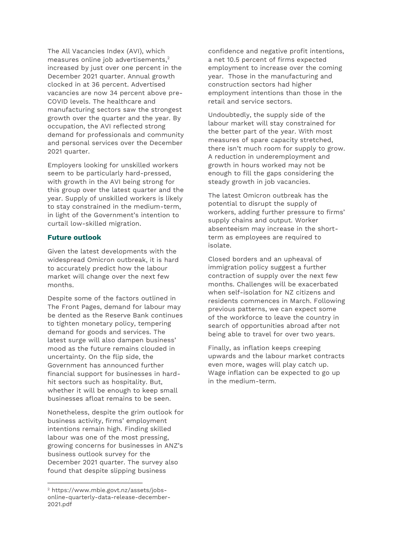The All Vacancies Index (AVI), which measures online job advertisements, 2 increased by just over one percent in the December 2021 quarter. Annual growth clocked in at 36 percent. Advertised vacancies are now 34 percent above pre-COVID levels. The healthcare and manufacturing sectors saw the strongest growth over the quarter and the year. By occupation, the AVI reflected strong demand for professionals and community and personal services over the December 2021 quarter.

Employers looking for unskilled workers seem to be particularly hard-pressed, with growth in the AVI being strong for this group over the latest quarter and the year. Supply of unskilled workers is likely to stay constrained in the medium-term, in light of the Government's intention to curtail low-skilled migration.

## **Future outlook**

Given the latest developments with the widespread Omicron outbreak, it is hard to accurately predict how the labour market will change over the next few months.

Despite some of the factors outlined in The Front Pages, demand for labour may be dented as the Reserve Bank continues to tighten monetary policy, tempering demand for goods and services. The latest surge will also dampen business' mood as the future remains clouded in uncertainty. On the flip side, the Government has announced further financial support for businesses in hardhit sectors such as hospitality. But, whether it will be enough to keep small businesses afloat remains to be seen.

Nonetheless, despite the grim outlook for business activity, firms' employment intentions remain high. Finding skilled labour was one of the most pressing, growing concerns for businesses in ANZ's business outlook survey for the December 2021 quarter. The survey also found that despite slipping business

1

confidence and negative profit intentions, a net 10.5 percent of firms expected employment to increase over the coming year. Those in the manufacturing and construction sectors had higher employment intentions than those in the retail and service sectors.

Undoubtedly, the supply side of the labour market will stay constrained for the better part of the year. With most measures of spare capacity stretched, there isn't much room for supply to grow. A reduction in underemployment and growth in hours worked may not be enough to fill the gaps considering the steady growth in job vacancies.

The latest Omicron outbreak has the potential to disrupt the supply of workers, adding further pressure to firms' supply chains and output. Worker absenteeism may increase in the shortterm as employees are required to isolate.

Closed borders and an upheaval of immigration policy suggest a further contraction of supply over the next few months. Challenges will be exacerbated when self-isolation for NZ citizens and residents commences in March. Following previous patterns, we can expect some of the workforce to leave the country in search of opportunities abroad after not being able to travel for over two years.

Finally, as inflation keeps creeping upwards and the labour market contracts even more, wages will play catch up. Wage inflation can be expected to go up in the medium-term.

<sup>2</sup> https://www.mbie.govt.nz/assets/jobsonline-quarterly-data-release-december-2021.pdf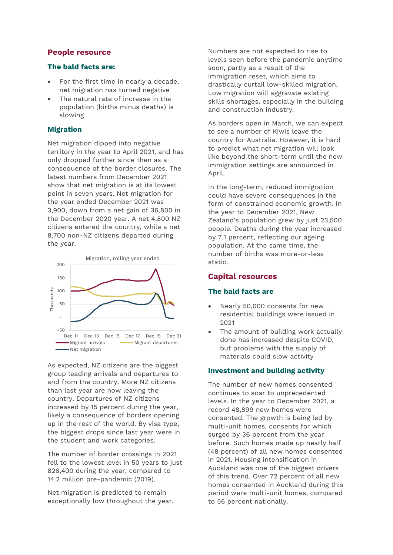## **People resource**

## **The bald facts are:**

- For the first time in nearly a decade, net migration has turned negative
- The natural rate of increase in the population (births minus deaths) is slowing

## **Migration**

Net migration dipped into negative territory in the year to April 2021, and has only dropped further since then as a consequence of the border closures. The latest numbers from December 2021 show that net migration is at its lowest point in seven years. Net migration for the year ended December 2021 was 3,900, down from a net gain of 36,800 in the December 2020 year. A net 4,800 NZ citizens entered the country, while a net 8,700 non-NZ citizens departed during the year.



As expected, NZ citizens are the biggest group leading arrivals and departures to and from the country. More NZ citizens than last year are now leaving the country. Departures of NZ citizens increased by 15 percent during the year, likely a consequence of borders opening up in the rest of the world. By visa type, the biggest drops since last year were in the student and work categories.

The number of border crossings in 2021 fell to the lowest level in 50 years to just 826,400 during the year, compared to 14.2 million pre-pandemic (2019).

Net migration is predicted to remain exceptionally low throughout the year. Numbers are not expected to rise to levels seen before the pandemic anytime soon, partly as a result of the immigration reset, which aims to drastically curtail low-skilled migration. Low migration will aggravate existing skills shortages, especially in the building and construction industry.

As borders open in March, we can expect to see a number of Kiwis leave the country for Australia. However, it is hard to predict what net migration will look like beyond the short-term until the new immigration settings are announced in April.

In the long-term, reduced immigration could have severe consequences in the form of constrained economic growth. In the year to December 2021, New Zealand's population grew by just 23,500 people. Deaths during the year increased by 7.1 percent, reflecting our ageing population. At the same time, the number of births was more-or-less static.

## **Capital resources**

## **The bald facts are**

- Nearly 50,000 consents for new residential buildings were issued in 2021
- The amount of building work actually done has increased despite COVID, but problems with the supply of materials could slow activity

## **Investment and building activity**

The number of new homes consented continues to soar to unprecedented levels. In the year to December 2021, a record 48,899 new homes were consented. The growth is being led by multi-unit homes, consents for which surged by 36 percent from the year before. Such homes made up nearly half (48 percent) of all new homes consented in 2021. Housing intensification in Auckland was one of the biggest drivers of this trend. Over 72 percent of all new homes consented in Auckland during this period were multi-unit homes, compared to 56 percent nationally.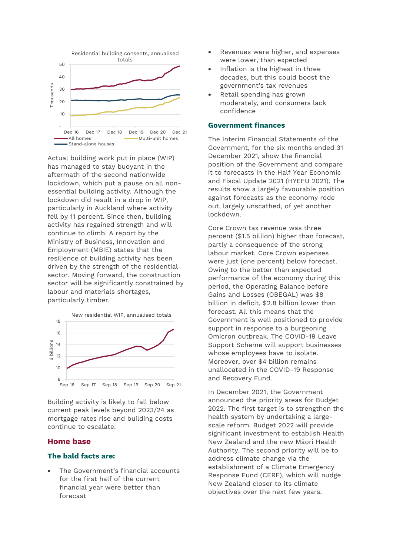

Actual building work put in place (WIP) has managed to stay buoyant in the aftermath of the second nationwide lockdown, which put a pause on all nonessential building activity. Although the lockdown did result in a drop in WIP, particularly in Auckland where activity fell by 11 percent. Since then, building activity has regained strength and will continue to climb. A report by the Ministry of Business, Innovation and Employment (MBIE) states that the resilience of building activity has been driven by the strength of the residential sector. Moving forward, the construction sector will be significantly constrained by labour and materials shortages, particularly timber.



Building activity is likely to fall below current peak levels beyond 2023/24 as mortgage rates rise and building costs continue to escalate.

## **Home base**

## **The bald facts are:**

 The Government's financial accounts for the first half of the current financial year were better than forecast

- Revenues were higher, and expenses were lower, than expected
- Inflation is the highest in three decades, but this could boost the government's tax revenues
- Retail spending has grown moderately, and consumers lack confidence

#### **Government finances**

The Interim Financial Statements of the Government, for the six months ended 31 December 2021, show the financial position of the Government and compare it to forecasts in the Half Year Economic and Fiscal Update 2021 (HYEFU 2021). The results show a largely favourable position against forecasts as the economy rode out, largely unscathed, of yet another lockdown.

Core Crown tax revenue was three percent (\$1.5 billion) higher than forecast, partly a consequence of the strong labour market. Core Crown expenses were just (one percent) below forecast. Owing to the better than expected performance of the economy during this period, the Operating Balance before Gains and Losses (OBEGAL) was \$8 billion in deficit, \$2.8 billion lower than forecast. All this means that the Government is well positioned to provide support in response to a burgeoning Omicron outbreak. The COVID-19 Leave Support Scheme will support businesses whose employees have to isolate. Moreover, over \$4 billion remains unallocated in the COVID-19 Response and Recovery Fund.

In December 2021, the Government announced the priority areas for Budget 2022. The first target is to strengthen the health system by undertaking a largescale reform. Budget 2022 will provide significant investment to establish Health New Zealand and the new Māori Health Authority. The second priority will be to address climate change via the establishment of a Climate Emergency Response Fund (CERF), which will nudge New Zealand closer to its climate objectives over the next few years.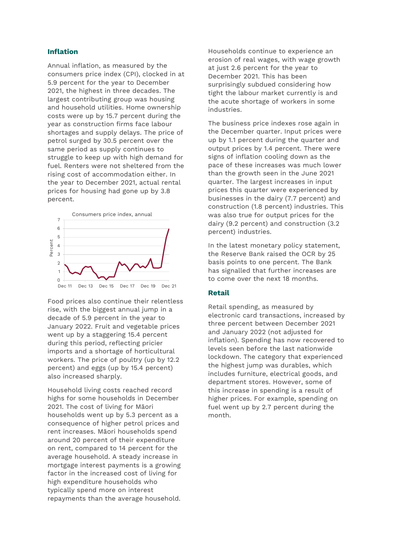#### **Inflation**

Annual inflation, as measured by the consumers price index (CPI), clocked in at 5.9 percent for the year to December 2021, the highest in three decades. The largest contributing group was housing and household utilities. Home ownership costs were up by 15.7 percent during the year as construction firms face labour shortages and supply delays. The price of petrol surged by 30.5 percent over the same period as supply continues to struggle to keep up with high demand for fuel. Renters were not sheltered from the rising cost of accommodation either. In the year to December 2021, actual rental prices for housing had gone up by 3.8 percent.



Food prices also continue their relentless rise, with the biggest annual jump in a decade of 5.9 percent in the year to January 2022. Fruit and vegetable prices went up by a staggering 15.4 percent during this period, reflecting pricier imports and a shortage of horticultural workers. The price of poultry (up by 12.2 percent) and eggs (up by 15.4 percent) also increased sharply.

Household living costs reached record highs for some households in December 2021. The cost of living for Māori households went up by 5.3 percent as a consequence of higher petrol prices and rent increases. Māori households spend around 20 percent of their expenditure on rent, compared to 14 percent for the average household. A steady increase in mortgage interest payments is a growing factor in the increased cost of living for high expenditure households who typically spend more on interest repayments than the average household.

Households continue to experience an erosion of real wages, with wage growth at just 2.6 percent for the year to December 2021. This has been surprisingly subdued considering how tight the labour market currently is and the acute shortage of workers in some industries.

The business price indexes rose again in the December quarter. Input prices were up by 1.1 percent during the quarter and output prices by 1.4 percent. There were signs of inflation cooling down as the pace of these increases was much lower than the growth seen in the June 2021 quarter. The largest increases in input prices this quarter were experienced by businesses in the dairy (7.7 percent) and construction (1.8 percent) industries. This was also true for output prices for the dairy (9.2 percent) and construction (3.2 percent) industries.

In the latest monetary policy statement, the Reserve Bank raised the OCR by 25 basis points to one percent. The Bank has signalled that further increases are to come over the next 18 months.

## **Retail**

Retail spending, as measured by electronic card transactions, increased by three percent between December 2021 and January 2022 (not adjusted for inflation). Spending has now recovered to levels seen before the last nationwide lockdown. The category that experienced the highest jump was durables, which includes furniture, electrical goods, and department stores. However, some of this increase in spending is a result of higher prices. For example, spending on fuel went up by 2.7 percent during the month.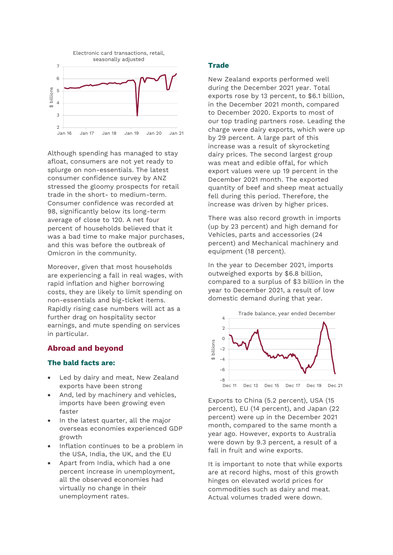

Although spending has managed to stay afloat, consumers are not yet ready to splurge on non-essentials. The latest consumer confidence survey by ANZ stressed the gloomy prospects for retail trade in the short- to medium-term. Consumer confidence was recorded at 98, significantly below its long-term average of close to 120. A net four percent of households believed that it was a bad time to make major purchases, and this was before the outbreak of Omicron in the community.

Moreover, given that most households are experiencing a fall in real wages, with rapid inflation and higher borrowing costs, they are likely to limit spending on non-essentials and big-ticket items. Rapidly rising case numbers will act as a further drag on hospitality sector earnings, and mute spending on services in particular.

## **Abroad and beyond**

## **The bald facts are:**

- Led by dairy and meat, New Zealand exports have been strong
- And, led by machinery and vehicles, imports have been growing even faster
- In the latest quarter, all the major overseas economies experienced GDP growth
- Inflation continues to be a problem in the USA, India, the UK, and the EU
- Apart from India, which had a one percent increase in unemployment, all the observed economies had virtually no change in their unemployment rates.

## **Trade**

New Zealand exports performed well during the December 2021 year. Total exports rose by 13 percent, to \$6.1 billion, in the December 2021 month, compared to December 2020. Exports to most of our top trading partners rose. Leading the charge were dairy exports, which were up by 29 percent. A large part of this increase was a result of skyrocketing dairy prices. The second largest group was meat and edible offal, for which export values were up 19 percent in the December 2021 month. The exported quantity of beef and sheep meat actually fell during this period. Therefore, the increase was driven by higher prices.

There was also record growth in imports (up by 23 percent) and high demand for Vehicles, parts and accessories (24 percent) and Mechanical machinery and equipment (18 percent).

In the year to December 2021, imports outweighed exports by \$6.8 billion, compared to a surplus of \$3 billion in the year to December 2021, a result of low domestic demand during that year.



Exports to China (5.2 percent), USA (15 percent), EU (14 percent), and Japan (22 percent) were up in the December 2021 month, compared to the same month a year ago. However, exports to Australia were down by 9.3 percent, a result of a fall in fruit and wine exports.

It is important to note that while exports are at record highs, most of this growth hinges on elevated world prices for commodities such as dairy and meat. Actual volumes traded were down.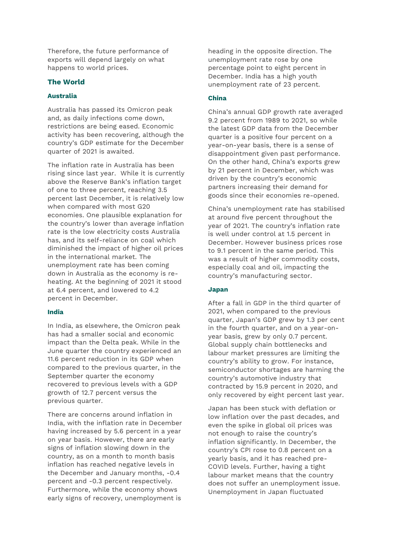Therefore, the future performance of exports will depend largely on what happens to world prices.

## **The World**

#### **Australia**

Australia has passed its Omicron peak and, as daily infections come down, restrictions are being eased. Economic activity has been recovering, although the country's GDP estimate for the December quarter of 2021 is awaited.

The inflation rate in Australia has been rising since last year. While it is currently above the Reserve Bank's inflation target of one to three percent, reaching 3.5 percent last December, it is relatively low when compared with most G20 economies. One plausible explanation for the country's lower than average inflation rate is the low electricity costs Australia has, and its self-reliance on coal which diminished the impact of higher oil prices in the international market. The unemployment rate has been coming down in Australia as the economy is reheating. At the beginning of 2021 it stood at 6.4 percent, and lowered to 4.2 percent in December.

## **India**

In India, as elsewhere, the Omicron peak has had a smaller social and economic impact than the Delta peak. While in the June quarter the country experienced an 11.6 percent reduction in its GDP when compared to the previous quarter, in the September quarter the economy recovered to previous levels with a GDP growth of 12.7 percent versus the previous quarter.

There are concerns around inflation in India, with the inflation rate in December having increased by 5.6 percent in a year on year basis. However, there are early signs of inflation slowing down in the country, as on a month to month basis inflation has reached negative levels in the December and January months, -0.4 percent and -0.3 percent respectively. Furthermore, while the economy shows early signs of recovery, unemployment is

heading in the opposite direction. The unemployment rate rose by one percentage point to eight percent in December. India has a high youth unemployment rate of 23 percent.

#### **China**

China's annual GDP growth rate averaged 9.2 percent from 1989 to 2021, so while the latest GDP data from the December quarter is a positive four percent on a year-on-year basis, there is a sense of disappointment given past performance. On the other hand, China's exports grew by 21 percent in December, which was driven by the country's economic partners increasing their demand for goods since their economies re-opened.

China's unemployment rate has stabilised at around five percent throughout the year of 2021. The country's inflation rate is well under control at 1.5 percent in December. However business prices rose to 9.1 percent in the same period. This was a result of higher commodity costs, especially coal and oil, impacting the country's manufacturing sector.

#### **Japan**

After a fall in GDP in the third quarter of 2021, when compared to the previous quarter, Japan's GDP grew by 1.3 per cent in the fourth quarter, and on a year-onyear basis, grew by only 0.7 percent. Global supply chain bottlenecks and labour market pressures are limiting the country's ability to grow. For instance, semiconductor shortages are harming the country's automotive industry that contracted by 15.9 percent in 2020, and only recovered by eight percent last year.

Japan has been stuck with deflation or low inflation over the past decades, and even the spike in global oil prices was not enough to raise the country's inflation significantly. In December, the country's CPI rose to 0.8 percent on a yearly basis, and it has reached pre-COVID levels. Further, having a tight labour market means that the country does not suffer an unemployment issue. Unemployment in Japan fluctuated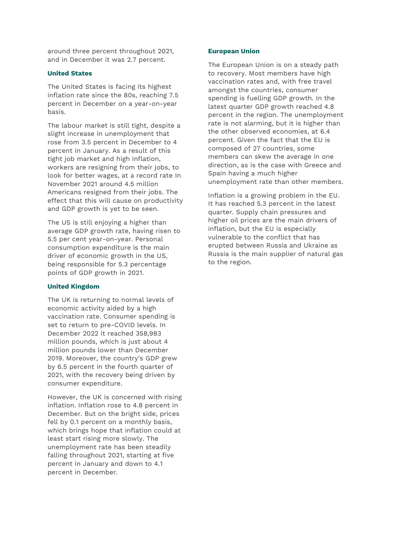around three percent throughout 2021, and in December it was 2.7 percent.

#### **United States**

The United States is facing its highest inflation rate since the 80s, reaching 7.5 percent in December on a year-on-year basis.

The labour market is still tight, despite a slight increase in unemployment that rose from 3.5 percent in December to 4 percent in January. As a result of this tight job market and high inflation, workers are resigning from their jobs, to look for better wages, at a record rate In November 2021 around 4.5 million Americans resigned from their jobs. The effect that this will cause on productivity and GDP growth is yet to be seen.

The US is still enjoying a higher than average GDP growth rate, having risen to 5.5 per cent year-on-year. Personal consumption expenditure is the main driver of economic growth in the US, being responsible for 5.3 percentage points of GDP growth in 2021.

#### **United Kingdom**

The UK is returning to normal levels of economic activity aided by a high vaccination rate. Consumer spending is set to return to pre-COVID levels. In December 2022 it reached 358,983 million pounds, which is just about 4 million pounds lower than December 2019. Moreover, the country's GDP grew by 6.5 percent in the fourth quarter of 2021, with the recovery being driven by consumer expenditure.

However, the UK is concerned with rising inflation. Inflation rose to 4.8 percent in December. But on the bright side, prices fell by 0.1 percent on a monthly basis, which brings hope that inflation could at least start rising more slowly. The unemployment rate has been steadily falling throughout 2021, starting at five percent in January and down to 4.1 percent in December.

#### **European Union**

The European Union is on a steady path to recovery. Most members have high vaccination rates and, with free travel amongst the countries, consumer spending is fuelling GDP growth. In the latest quarter GDP growth reached 4.8 percent in the region. The unemployment rate is not alarming, but it is higher than the other observed economies, at 6.4 percent. Given the fact that the EU is composed of 27 countries, some members can skew the average in one direction, as is the case with Greece and Spain having a much higher unemployment rate than other members.

Inflation is a growing problem in the EU. It has reached 5.3 percent in the latest quarter. Supply chain pressures and higher oil prices are the main drivers of inflation, but the EU is especially vulnerable to the conflict that has erupted between Russia and Ukraine as Russia is the main supplier of natural gas to the region.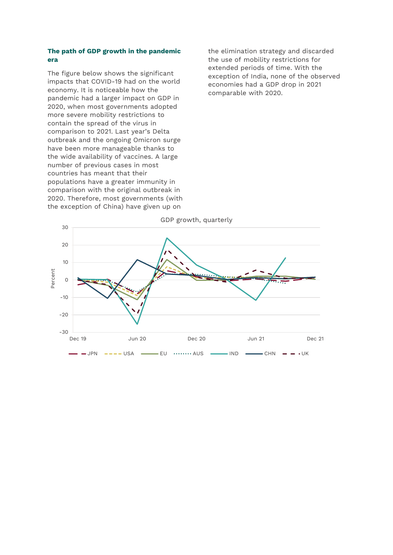#### **The path of GDP growth in the pandemic era**

The figure below shows the significant impacts that COVID-19 had on the world economy. It is noticeable how the pandemic had a larger impact on GDP in 2020, when most governments adopted more severe mobility restrictions to contain the spread of the virus in comparison to 2021. Last year's Delta outbreak and the ongoing Omicron surge have been more manageable thanks to the wide availability of vaccines. A large number of previous cases in most countries has meant that their populations have a greater immunity in comparison with the original outbreak in 2020. Therefore, most governments (with the exception of China) have given up on

the elimination strategy and discarded the use of mobility restrictions for extended periods of time. With the exception of India, none of the observed economies had a GDP drop in 2021 comparable with 2020.